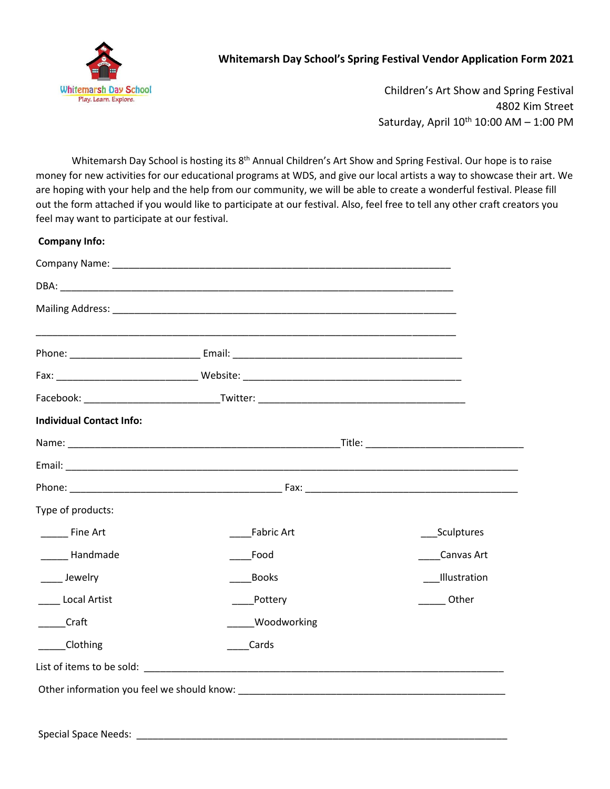

## **Whitemarsh Day School's Spring Festival Vendor Application Form 2021**

Children's Art Show and Spring Festival 4802 Kim Street Saturday, April 10<sup>th</sup> 10:00 AM - 1:00 PM

Whitemarsh Day School is hosting its 8<sup>th</sup> Annual Children's Art Show and Spring Festival. Our hope is to raise money for new activities for our educational programs at WDS, and give our local artists a way to showcase their art. We are hoping with your help and the help from our community, we will be able to create a wonderful festival. Please fill out the form attached if you would like to participate at our festival. Also, feel free to tell any other craft creators you feel may want to participate at our festival.

| <b>Individual Contact Info:</b> |                    |              |  |
|---------------------------------|--------------------|--------------|--|
|                                 |                    |              |  |
|                                 |                    |              |  |
|                                 |                    |              |  |
| Type of products:               |                    |              |  |
| ________ Fine Art               | <b>Fabric Art</b>  | _Sculptures  |  |
| Handmade                        | Food               | Canvas Art   |  |
| ____ Jewelry                    | <b>Books</b>       | Illustration |  |
| <b>Local Artist</b>             | Pottery            | Other        |  |
| Craft                           | <b>Woodworking</b> |              |  |
| Clothing                        | Cards              |              |  |
|                                 |                    |              |  |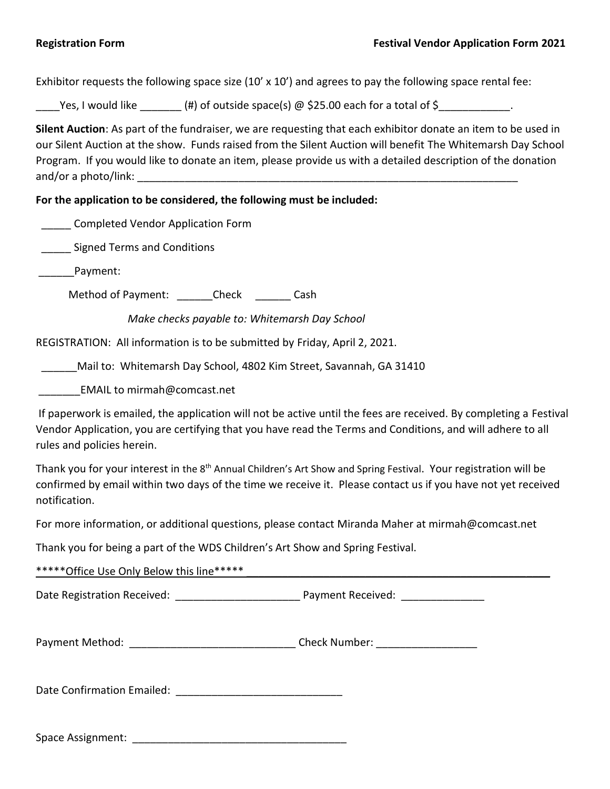Exhibitor requests the following space size  $(10' \times 10')$  and agrees to pay the following space rental fee:

Yes, I would like  $(\#)$  of outside space(s) @ \$25.00 each for a total of \$

**Silent Auction**: As part of the fundraiser, we are requesting that each exhibitor donate an item to be used in our Silent Auction at the show. Funds raised from the Silent Auction will benefit The Whitemarsh Day School Program. If you would like to donate an item, please provide us with a detailed description of the donation and/or a photo/link:

**For the application to be considered, the following must be included:**

\_\_\_\_\_ Completed Vendor Application Form

\_\_\_\_\_ Signed Terms and Conditions

\_\_\_\_\_\_Payment:

Method of Payment: \_\_\_\_\_\_\_Check \_\_\_\_\_\_\_\_ Cash

 *Make checks payable to: Whitemarsh Day School*

REGISTRATION: All information is to be submitted by Friday, April 2, 2021.

\_\_\_\_\_\_Mail to: Whitemarsh Day School, 4802 Kim Street, Savannah, GA 31410

EMAIL to mirmah@comcast.net

If paperwork is emailed, the application will not be active until the fees are received. By completing a Festival Vendor Application, you are certifying that you have read the Terms and Conditions, and will adhere to all rules and policies herein.

Thank you for your interest in the 8<sup>th</sup> Annual Children's Art Show and Spring Festival. Your registration will be confirmed by email within two days of the time we receive it. Please contact us if you have not yet received notification.

For more information, or additional questions, please contact Miranda Maher at mirmah@comcast.net

Thank you for being a part of the WDS Children's Art Show and Spring Festival.

\*\*\*\*\*\*Office Use Only Below this line\*\*\*\*\*

Date Registration Received: \_\_\_\_\_\_\_\_\_\_\_\_\_\_\_\_\_\_\_\_\_ Payment Received: \_\_\_\_\_\_\_\_\_\_\_\_\_\_

| Payment Method: | <b>Check Number:</b> |  |
|-----------------|----------------------|--|
|                 |                      |  |

Date Confirmation Emailed: \_\_\_\_\_\_\_\_\_\_\_\_\_\_\_\_\_\_\_\_\_\_\_\_\_\_\_\_

Space Assignment:  $\Box$